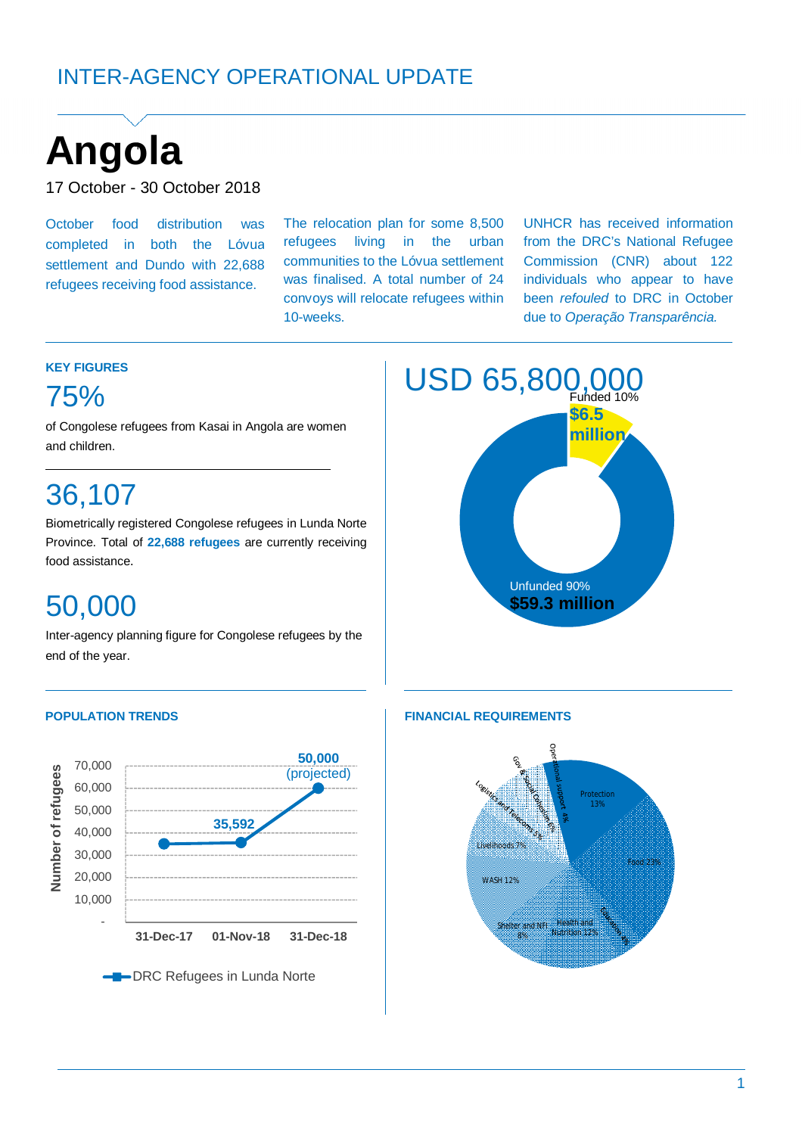# INTER-AGENCY OPERATIONAL UPDATE

# **Angola** <sup>+</sup>

**KEY FIGURES**

75%

and children.

36,107

food assistance.

50,000

17 October - 30 October 2018

October food distribution was completed in both the Lóvua settlement and Dundo with 22,688 refugees receiving food assistance.

The relocation plan for some 8,500 refugees living in the urban communities to the Lóvua settlement was finalised. A total number of 24 convoys will relocate refugees within 10-weeks.

UNHCR has received information from the DRC's National Refugee Commission (CNR) about 122 individuals who appear to have been *refouled* to DRC in October due to *Operação Transparência.*



### Inter-agency planning figure for Congolese refugees by the



of Congolese refugees from Kasai in Angola are women

Biometrically registered Congolese refugees in Lunda Norte Province. Total of **22,688 refugees** are currently receiving



#### **POPULATION TRENDS FINANCIAL REQUIREMENTS**

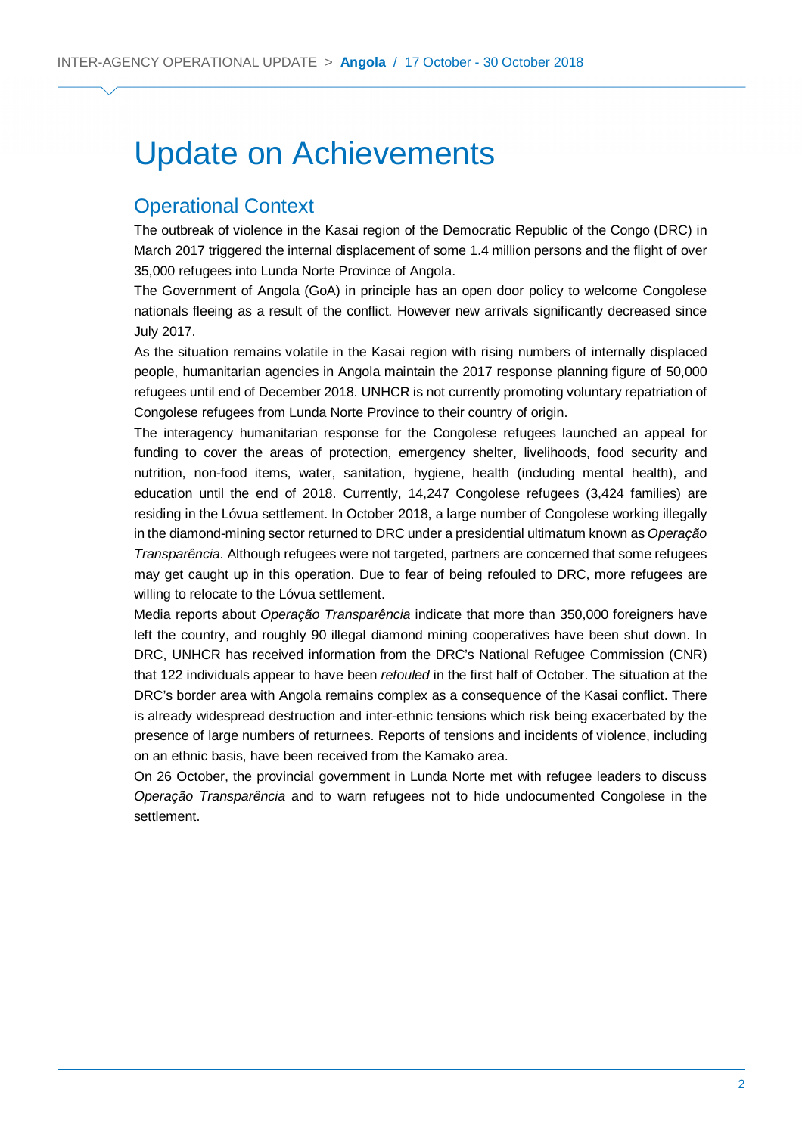# Update on Achievements

## Operational Context

The outbreak of violence in the Kasai region of the Democratic Republic of the Congo (DRC) in March 2017 triggered the internal displacement of some 1.4 million persons and the flight of over 35,000 refugees into Lunda Norte Province of Angola.

The Government of Angola (GoA) in principle has an open door policy to welcome Congolese nationals fleeing as a result of the conflict. However new arrivals significantly decreased since July 2017.

As the situation remains volatile in the Kasai region with rising numbers of internally displaced people, humanitarian agencies in Angola maintain the 2017 response planning figure of 50,000 refugees until end of December 2018. UNHCR is not currently promoting voluntary repatriation of Congolese refugees from Lunda Norte Province to their country of origin.

The interagency humanitarian response for the Congolese refugees launched an appeal for funding to cover the areas of protection, emergency shelter, livelihoods, food security and nutrition, non-food items, water, sanitation, hygiene, health (including mental health), and education until the end of 2018. Currently, 14,247 Congolese refugees (3,424 families) are residing in the Lóvua settlement. In October 2018, a large number of Congolese working illegally in the diamond-mining sector returned to DRC under a presidential ultimatum known as *Operação Transparência*. Although refugees were not targeted, partners are concerned that some refugees may get caught up in this operation. Due to fear of being refouled to DRC, more refugees are willing to relocate to the Lóvua settlement.

Media reports about *Operação Transparência* indicate that more than 350,000 foreigners have left the country, and roughly 90 illegal diamond mining cooperatives have been shut down. In DRC, UNHCR has received information from the DRC's National Refugee Commission (CNR) that 122 individuals appear to have been *refouled* in the first half of October. The situation at the DRC's border area with Angola remains complex as a consequence of the Kasai conflict. There is already widespread destruction and inter-ethnic tensions which risk being exacerbated by the presence of large numbers of returnees. Reports of tensions and incidents of violence, including on an ethnic basis, have been received from the Kamako area.

On 26 October, the provincial government in Lunda Norte met with refugee leaders to discuss *Operação Transparência* and to warn refugees not to hide undocumented Congolese in the settlement.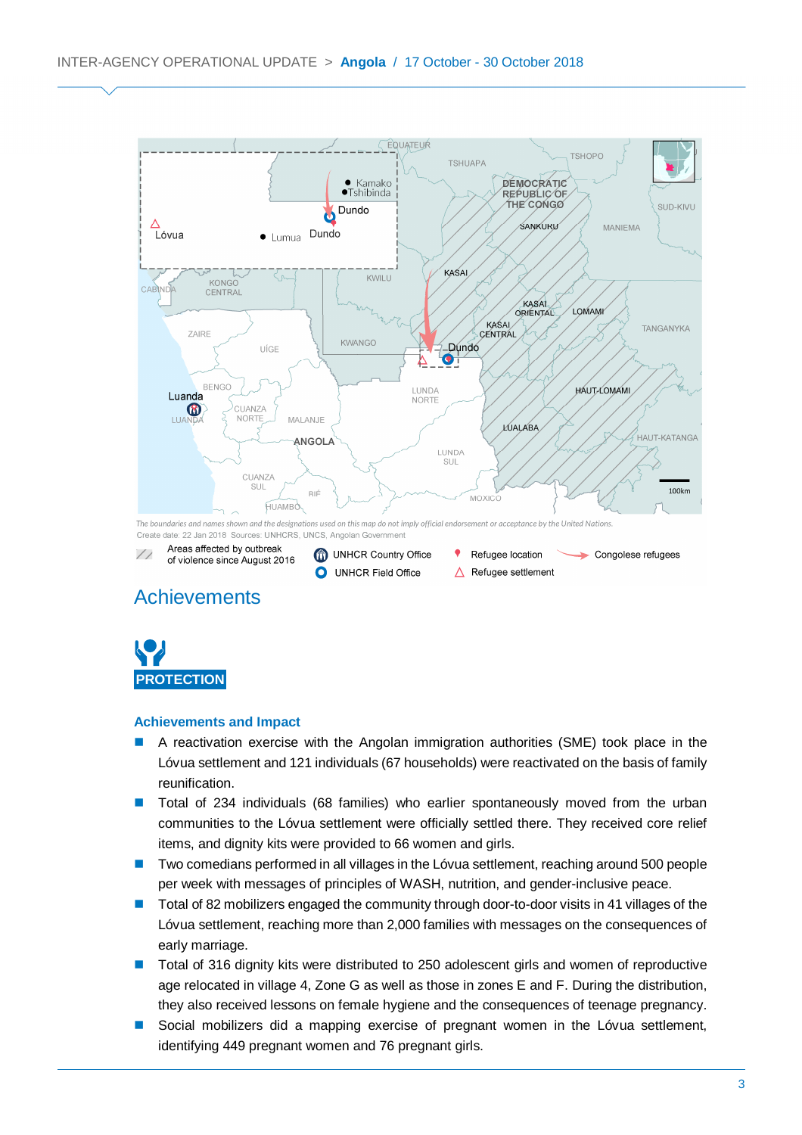

# **Achievements**



#### **Achievements and Impact**

- A reactivation exercise with the Angolan immigration authorities (SME) took place in the Lóvua settlement and 121 individuals (67 households) were reactivated on the basis of family reunification.
- Total of 234 individuals (68 families) who earlier spontaneously moved from the urban communities to the Lóvua settlement were officially settled there. They received core relief items, and dignity kits were provided to 66 women and girls.
- Two comedians performed in all villages in the Lóvua settlement, reaching around 500 people per week with messages of principles of WASH, nutrition, and gender-inclusive peace.
- Total of 82 mobilizers engaged the community through door-to-door visits in 41 villages of the Lóvua settlement, reaching more than 2,000 families with messages on the consequences of early marriage.
- Total of 316 dignity kits were distributed to 250 adolescent girls and women of reproductive age relocated in village 4, Zone G as well as those in zones E and F. During the distribution, they also received lessons on female hygiene and the consequences of teenage pregnancy.
- Social mobilizers did a mapping exercise of pregnant women in the Lóvua settlement, identifying 449 pregnant women and 76 pregnant girls.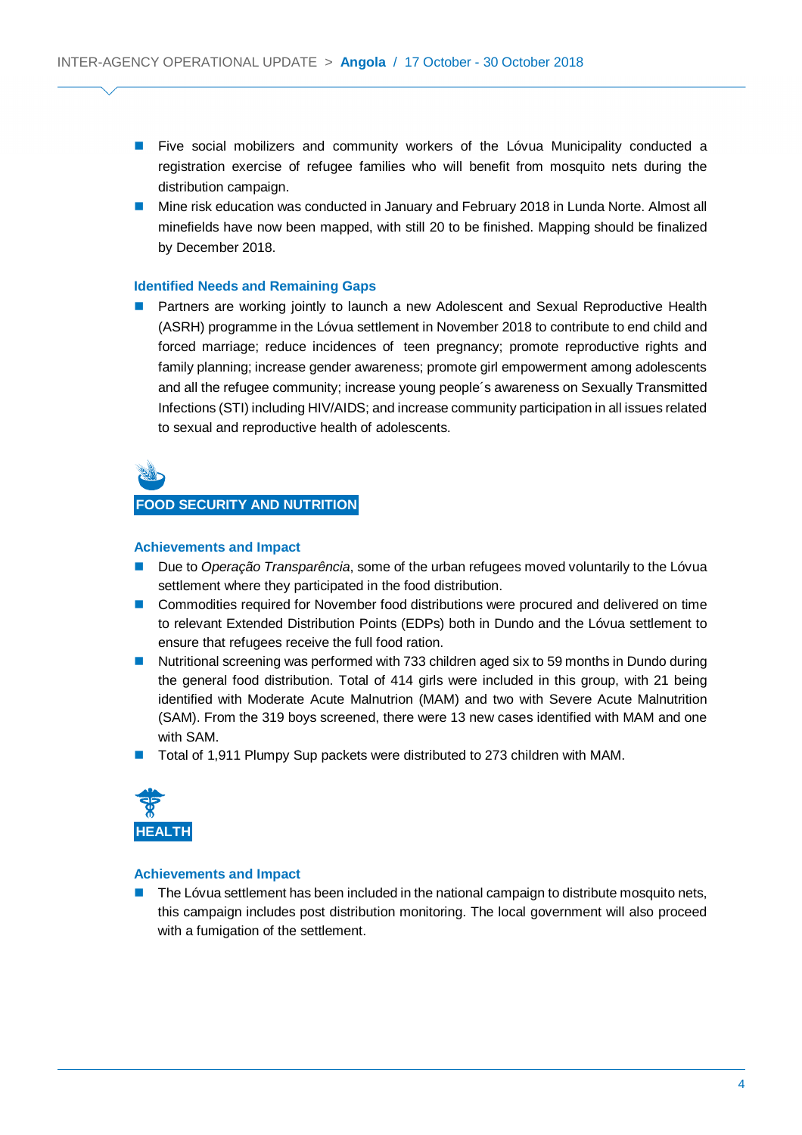- **Five social mobilizers and community workers of the Lóvua Municipality conducted a** registration exercise of refugee families who will benefit from mosquito nets during the distribution campaign.
- **Mine risk education was conducted in January and February 2018 in Lunda Norte. Almost all** minefields have now been mapped, with still 20 to be finished. Mapping should be finalized by December 2018.

#### **Identified Needs and Remaining Gaps**

 Partners are working jointly to launch a new Adolescent and Sexual Reproductive Health (ASRH) programme in the Lóvua settlement in November 2018 to contribute to end child and forced marriage; reduce incidences of teen pregnancy; promote reproductive rights and family planning; increase gender awareness; promote girl empowerment among adolescents and all the refugee community; increase young people´s awareness on Sexually Transmitted Infections (STI) including HIV/AIDS; and increase community participation in all issues related to sexual and reproductive health of adolescents.



#### **FOOD SECURITY AND NUTRITION**

#### **Achievements and Impact**

- **Due to** *Operação Transparência*, some of the urban refugees moved voluntarily to the Lóvua settlement where they participated in the food distribution.
- Commodities required for November food distributions were procured and delivered on time to relevant Extended Distribution Points (EDPs) both in Dundo and the Lóvua settlement to ensure that refugees receive the full food ration.
- Nutritional screening was performed with 733 children aged six to 59 months in Dundo during the general food distribution. Total of 414 girls were included in this group, with 21 being identified with Moderate Acute Malnutrion (MAM) and two with Severe Acute Malnutrition (SAM). From the 319 boys screened, there were 13 new cases identified with MAM and one with SAM.
- Total of 1,911 Plumpy Sup packets were distributed to 273 children with MAM.



#### **Achievements and Impact**

 The Lóvua settlement has been included in the national campaign to distribute mosquito nets, this campaign includes post distribution monitoring. The local government will also proceed with a fumigation of the settlement.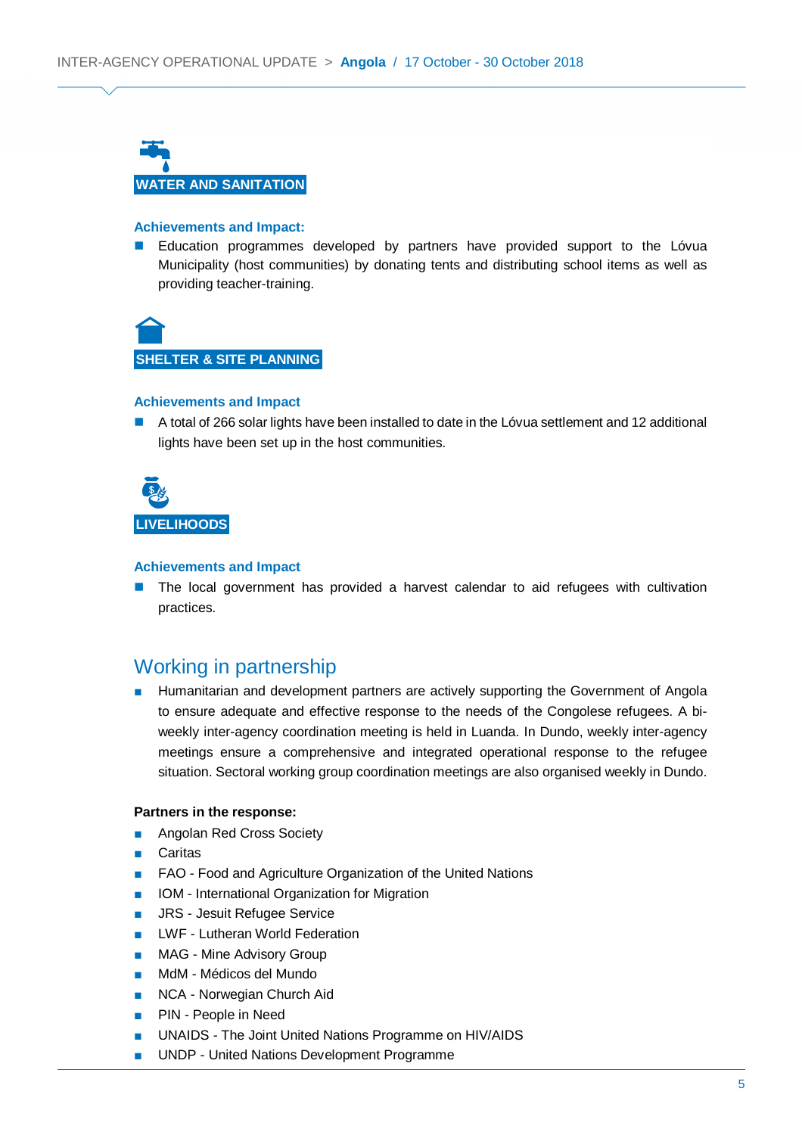

#### **Achievements and Impact:**

**E** Education programmes developed by partners have provided support to the Lóvua Municipality (host communities) by donating tents and distributing school items as well as providing teacher-training.



#### **Achievements and Impact**

A total of 266 solar lights have been installed to date in the Lóvua settlement and 12 additional lights have been set up in the host communities.



#### **Achievements and Impact**

 The local government has provided a harvest calendar to aid refugees with cultivation practices.

### Working in partnership

Humanitarian and development partners are actively supporting the Government of Angola to ensure adequate and effective response to the needs of the Congolese refugees. A biweekly inter-agency coordination meeting is held in Luanda. In Dundo, weekly inter-agency meetings ensure a comprehensive and integrated operational response to the refugee situation. Sectoral working group coordination meetings are also organised weekly in Dundo.

#### **Partners in the response:**

- Angolan Red Cross Society
- Caritas
- FAO Food and Agriculture Organization of the United Nations
- IOM International Organization for Migration
- JRS Jesuit Refugee Service
- LWF Lutheran World Federation
- MAG Mine Advisory Group
- MdM Médicos del Mundo
- NCA Norwegian Church Aid
- PIN People in Need
- UNAIDS The Joint United Nations Programme on HIV/AIDS
- UNDP United Nations Development Programme